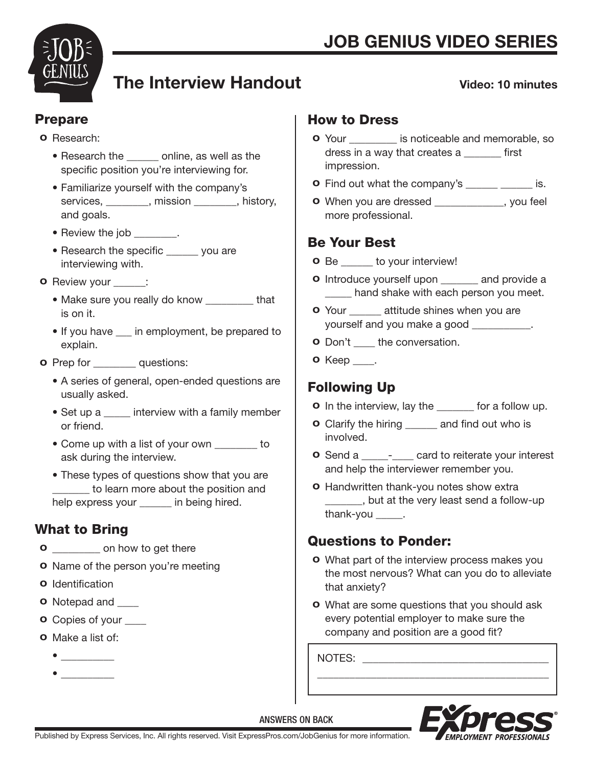

# The Interview Handout

#### Video: 10 minutes

### Prepare

#### o Research:

- Research the \_\_\_\_\_\_ online, as well as the specific position you're interviewing for.
- Familiarize yourself with the company's services, mission and history, and goals.
- Review the job \_\_\_\_\_\_\_\_.
- Research the specific \_\_\_\_\_\_ you are interviewing with.
- o Review your \_\_\_\_\_\_:
	- Make sure you really do know that is on it.
	- If you have in employment, be prepared to explain.
- **o** Prep for **questions:** 
	- A series of general, open-ended questions are usually asked.
	- Set up a \_\_\_\_\_\_ interview with a family member or friend.
	- Come up with a list of your own to ask during the interview.
	- These types of questions show that you are \_\_\_\_\_\_\_ to learn more about the position and help express your \_\_\_\_\_\_ in being hired.

## What to Bring

- **o** on how to get there
- **o** Name of the person you're meeting
- o Identification
- **o** Notepad and \_\_\_\_\_
- **o** Copies of your
- o Make a list of:
- \_\_\_\_\_\_\_\_\_\_
- \_\_\_\_\_\_\_\_\_\_

### How to Dress

- o Your \_\_\_\_\_\_\_\_\_ is noticeable and memorable, so dress in a way that creates a \_\_\_\_\_\_\_ first impression.
- **o** Find out what the company's \_\_\_\_\_\_ \_\_\_\_\_ is.
- o When you are dressed \_\_\_\_\_\_\_\_\_\_\_\_\_, you feel more professional.

## Be Your Best

- o Be \_\_\_\_\_\_ to your interview!
- **o** Introduce yourself upon and provide a \_\_\_\_ hand shake with each person you meet.
- **o** Your \_\_\_\_\_\_ attitude shines when you are yourself and you make a good  $\qquad \qquad$ .
- **o** Don't the conversation.
- **o** Keep \_\_\_\_.

## Following Up

- **o** In the interview, lay the \_\_\_\_\_\_ for a follow up.
- o Clarify the hiring \_\_\_\_\_\_ and find out who is involved.
- **o** Send a \_\_\_\_\_- card to reiterate your interest and help the interviewer remember you.
- o Handwritten thank-you notes show extra **10.123.** but at the very least send a follow-up thank-you  $\rule{1em}{0.15mm}$ .

## Questions to Ponder:

- o What part of the interview process makes you the most nervous? What can you do to alleviate that anxiety?
- o What are some questions that you should ask every potential employer to make sure the company and position are a good fit?

\_\_\_\_\_\_\_\_\_\_\_\_\_\_\_\_\_\_\_\_\_\_\_\_\_\_\_\_\_\_\_\_\_\_\_\_\_\_\_\_\_\_\_

NOTES: \_\_\_\_\_\_\_\_\_\_\_\_\_\_\_\_\_\_\_\_\_\_\_\_\_\_\_\_\_\_\_\_\_\_\_



ANSWERS ON BACK